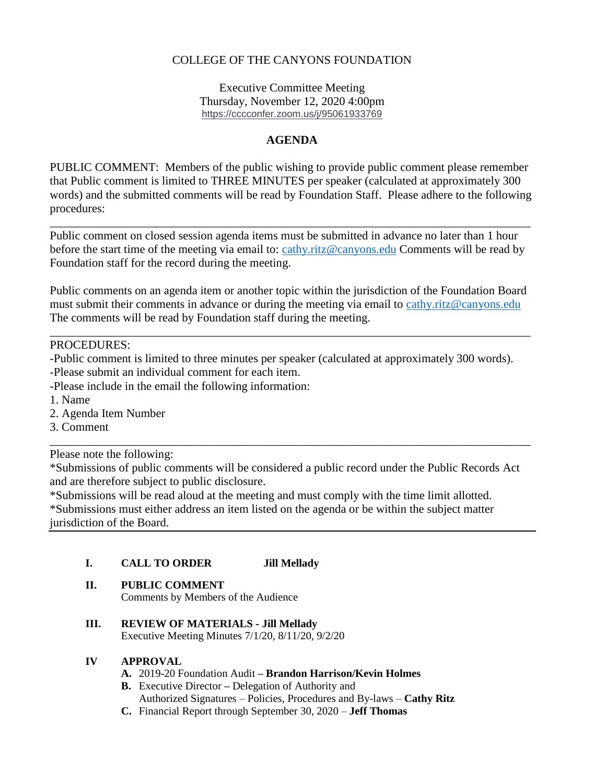## COLLEGE OF THE CANYONS FOUNDATION

Executive Committee Meeting Thursday, November 12, 2020 4:00pm <https://cccconfer.zoom.us/j/95061933769>

### **AGENDA**

PUBLIC COMMENT: Members of the public wishing to provide public comment please remember that Public comment is limited to THREE MINUTES per speaker (calculated at approximately 300 words) and the submitted comments will be read by Foundation Staff. Please adhere to the following procedures:

Public comment on closed session agenda items must be submitted in advance no later than 1 hour before the start time of the meeting via email to: [cathy.ritz@canyons.edu](mailto:cathy.ritz@canyons.edu) Comments will be read by Foundation staff for the record during the meeting.

\_\_\_\_\_\_\_\_\_\_\_\_\_\_\_\_\_\_\_\_\_\_\_\_\_\_\_\_\_\_\_\_\_\_\_\_\_\_\_\_\_\_\_\_\_\_\_\_\_\_\_\_\_\_\_\_\_\_\_\_\_\_\_\_\_\_\_\_\_\_\_\_\_\_\_\_\_\_\_\_\_

Public comments on an agenda item or another topic within the jurisdiction of the Foundation Board must submit their comments in advance or during the meeting via email to [cathy.ritz@canyons.edu](mailto:cathy.ritz@canyons.edu) The comments will be read by Foundation staff during the meeting.

\_\_\_\_\_\_\_\_\_\_\_\_\_\_\_\_\_\_\_\_\_\_\_\_\_\_\_\_\_\_\_\_\_\_\_\_\_\_\_\_\_\_\_\_\_\_\_\_\_\_\_\_\_\_\_\_\_\_\_\_\_\_\_\_\_\_\_\_\_\_\_\_\_\_\_\_\_\_\_\_\_

#### PROCEDURES:

- -Public comment is limited to three minutes per speaker (calculated at approximately 300 words).
- -Please submit an individual comment for each item.
- -Please include in the email the following information:
- 1. Name
- 2. Agenda Item Number
- 3. Comment

Please note the following:

\*Submissions of public comments will be considered a public record under the Public Records Act and are therefore subject to public disclosure.

\_\_\_\_\_\_\_\_\_\_\_\_\_\_\_\_\_\_\_\_\_\_\_\_\_\_\_\_\_\_\_\_\_\_\_\_\_\_\_\_\_\_\_\_\_\_\_\_\_\_\_\_\_\_\_\_\_\_\_\_\_\_\_\_\_\_\_\_\_\_\_\_\_\_\_\_\_\_\_\_\_

\*Submissions will be read aloud at the meeting and must comply with the time limit allotted. \*Submissions must either address an item listed on the agenda or be within the subject matter jurisdiction of the Board.

#### **I. CALL TO ORDER Jill Mellady**

#### **II. PUBLIC COMMENT**

Comments by Members of the Audience

**III. REVIEW OF MATERIALS - Jill Mellady**

Executive Meeting Minutes 7/1/20, 8/11/20, 9/2/20

#### **IV APPROVAL**

- **A.** 2019-20 Foundation Audit **– Brandon Harrison/Kevin Holmes**
- **B.** Executive Director **–** Delegation of Authority and Authorized Signatures – Policies, Procedures and By-laws – **Cathy Ritz**
- **C.** Financial Report through September 30, 2020 **Jeff Thomas**